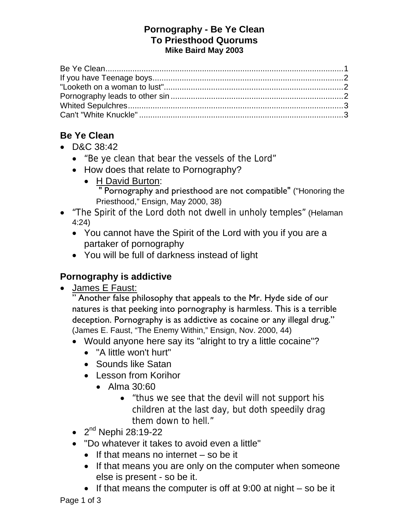#### **Pornography - Be Ye Clean To Priesthood Quorums Mike Baird May 2003**

# **Be Ye Clean**

- D&C 38:42
	- "Be ye clean that bear the vessels of the Lord"
	- How does that relate to Pornography?
		- H David Burton: " Pornography and priesthood are not compatible" ("Honoring the Priesthood," Ensign, May 2000, 38)
- "The Spirit of the Lord doth not dwell in unholy temples" (Helaman 4:24)
	- You cannot have the Spirit of the Lord with you if you are a partaker of pornography
	- You will be full of darkness instead of light

# **Pornography is addictive**

James E Faust:

" Another false philosophy that appeals to the Mr. Hyde side of our natures is that peeking into pornography is harmless. This is a terrible deception. Pornography is as addictive as cocaine or any illegal drug." (James E. Faust, "The Enemy Within," Ensign, Nov. 2000, 44)

- Would anyone here say its "alright to try a little cocaine"?
	- "A little won't hurt"
	- Sounds like Satan
	- Lesson from Korihor
		- $\bullet$  Alma 30:60
			- "thus we see that the devil will not support his children at the last day, but doth speedily drag them down to hell."
- $2^{nd}$  Nephi 28:19-22
- "Do whatever it takes to avoid even a little"
	- $\bullet$  If that means no internet so be it
	- If that means you are only on the computer when someone else is present - so be it.
	- If that means the computer is off at  $9:00$  at night so be it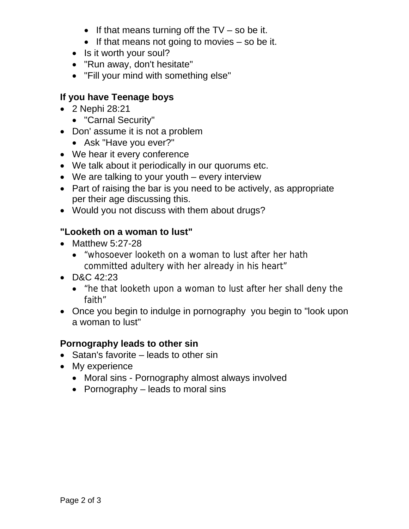- If that means turning off the  $TV$  so be it.
- $\bullet$  If that means not going to movies so be it.
- Is it worth your soul?
- "Run away, don't hesitate"
- "Fill your mind with something else"

### **If you have Teenage boys**

- 2 Nephi 28:21
	- "Carnal Security"
- Don' assume it is not a problem
	- Ask "Have you ever?"
- We hear it every conference
- We talk about it periodically in our quorums etc.
- We are talking to your youth every interview
- Part of raising the bar is you need to be actively, as appropriate per their age discussing this.
- Would you not discuss with them about drugs?

### **"Looketh on a woman to lust"**

- Matthew 5:27-28
	- "whosoever looketh on a woman to lust after her hath committed adultery with her already in his heart"
- D&C 42:23
	- "he that looketh upon a woman to lust after her shall deny the faith"
- Once you begin to indulge in pornography you begin to "look upon" a woman to lust"

#### **Pornography leads to other sin**

- $\bullet$  Satan's favorite leads to other sin
- My experience
	- Moral sins Pornography almost always involved
	- Pornography  $-$  leads to moral sins